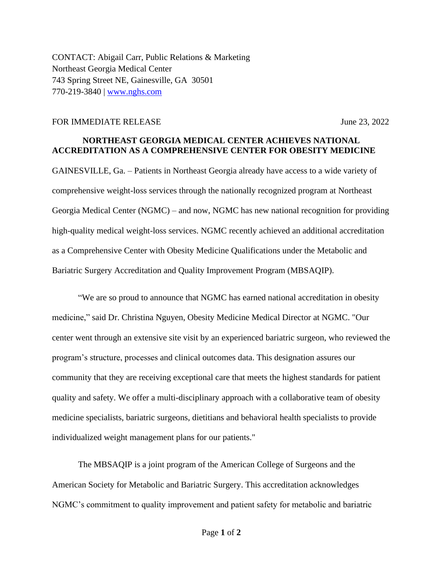CONTACT: Abigail Carr, Public Relations & Marketing Northeast Georgia Medical Center 743 Spring Street NE, Gainesville, GA 30501 770-219-3840 | [www.nghs.com](http://www.nghs.com/)

## FOR IMMEDIATE RELEASE June 23, 2022

## **NORTHEAST GEORGIA MEDICAL CENTER ACHIEVES NATIONAL ACCREDITATION AS A COMPREHENSIVE CENTER FOR OBESITY MEDICINE**

GAINESVILLE, Ga. – Patients in Northeast Georgia already have access to a wide variety of comprehensive weight-loss services through the nationally recognized program at Northeast Georgia Medical Center (NGMC) – and now, NGMC has new national recognition for providing high-quality medical weight-loss services. NGMC recently achieved an additional accreditation as a Comprehensive Center with Obesity Medicine Qualifications under the Metabolic and Bariatric Surgery Accreditation and Quality Improvement Program (MBSAQIP).

"We are so proud to announce that NGMC has earned national accreditation in obesity medicine," said Dr. Christina Nguyen, Obesity Medicine Medical Director at NGMC. "Our center went through an extensive site visit by an experienced bariatric surgeon, who reviewed the program's structure, processes and clinical outcomes data. This designation assures our community that they are receiving exceptional care that meets the highest standards for patient quality and safety. We offer a multi-disciplinary approach with a collaborative team of obesity medicine specialists, bariatric surgeons, dietitians and behavioral health specialists to provide individualized weight management plans for our patients."

The MBSAQIP is a joint program of the American College of Surgeons and the American Society for Metabolic and Bariatric Surgery. This accreditation acknowledges NGMC's commitment to quality improvement and patient safety for metabolic and bariatric